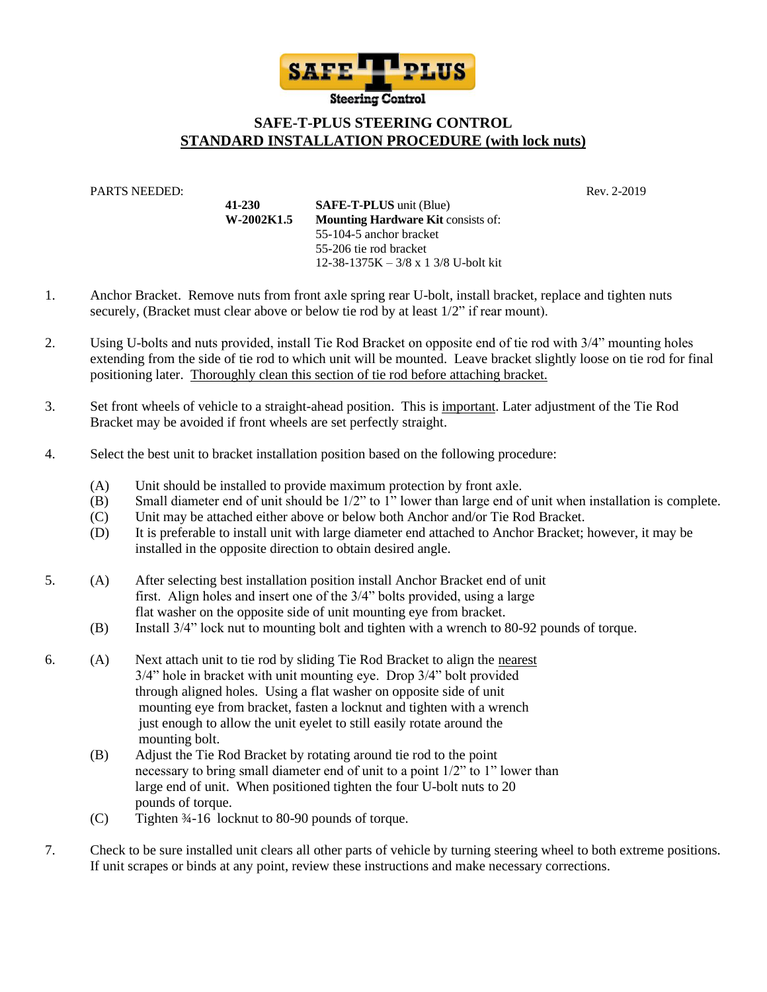

## **SAFE-T-PLUS STEERING CONTROL STANDARD INSTALLATION PROCEDURE (with lock nuts)**

PARTS NEEDED: Rev. 2-2019

**41-230 SAFE-T-PLUS** unit (Blue) **W-2002K1.5 Mounting Hardware Kit** consists of: 55-104-5 anchor bracket 55-206 tie rod bracket 12-38-1375K – 3/8 x 1 3/8 U-bolt kit

- 1. Anchor Bracket. Remove nuts from front axle spring rear U-bolt, install bracket, replace and tighten nuts securely, (Bracket must clear above or below tie rod by at least 1/2" if rear mount).
- 2. Using U-bolts and nuts provided, install Tie Rod Bracket on opposite end of tie rod with 3/4" mounting holes extending from the side of tie rod to which unit will be mounted. Leave bracket slightly loose on tie rod for final positioning later. Thoroughly clean this section of tie rod before attaching bracket.
- 3. Set front wheels of vehicle to a straight-ahead position. This is important. Later adjustment of the Tie Rod Bracket may be avoided if front wheels are set perfectly straight.
- 4. Select the best unit to bracket installation position based on the following procedure:
	- (A) Unit should be installed to provide maximum protection by front axle.
	- (B) Small diameter end of unit should be 1/2" to 1" lower than large end of unit when installation is complete.
	- (C) Unit may be attached either above or below both Anchor and/or Tie Rod Bracket.
	- (D) It is preferable to install unit with large diameter end attached to Anchor Bracket; however, it may be installed in the opposite direction to obtain desired angle.
- 5. (A) After selecting best installation position install Anchor Bracket end of unit first. Align holes and insert one of the 3/4" bolts provided, using a large flat washer on the opposite side of unit mounting eye from bracket.
	- (B) Install 3/4" lock nut to mounting bolt and tighten with a wrench to 80-92 pounds of torque.
- 6. (A) Next attach unit to tie rod by sliding Tie Rod Bracket to align the nearest 3/4" hole in bracket with unit mounting eye. Drop 3/4" bolt provided through aligned holes. Using a flat washer on opposite side of unit mounting eye from bracket, fasten a locknut and tighten with a wrench just enough to allow the unit eyelet to still easily rotate around the mounting bolt.
	- (B) Adjust the Tie Rod Bracket by rotating around tie rod to the point necessary to bring small diameter end of unit to a point 1/2" to 1" lower than large end of unit. When positioned tighten the four U-bolt nuts to 20 pounds of torque.
	- (C) Tighten ¾-16 locknut to 80-90 pounds of torque.
- 7. Check to be sure installed unit clears all other parts of vehicle by turning steering wheel to both extreme positions. If unit scrapes or binds at any point, review these instructions and make necessary corrections.